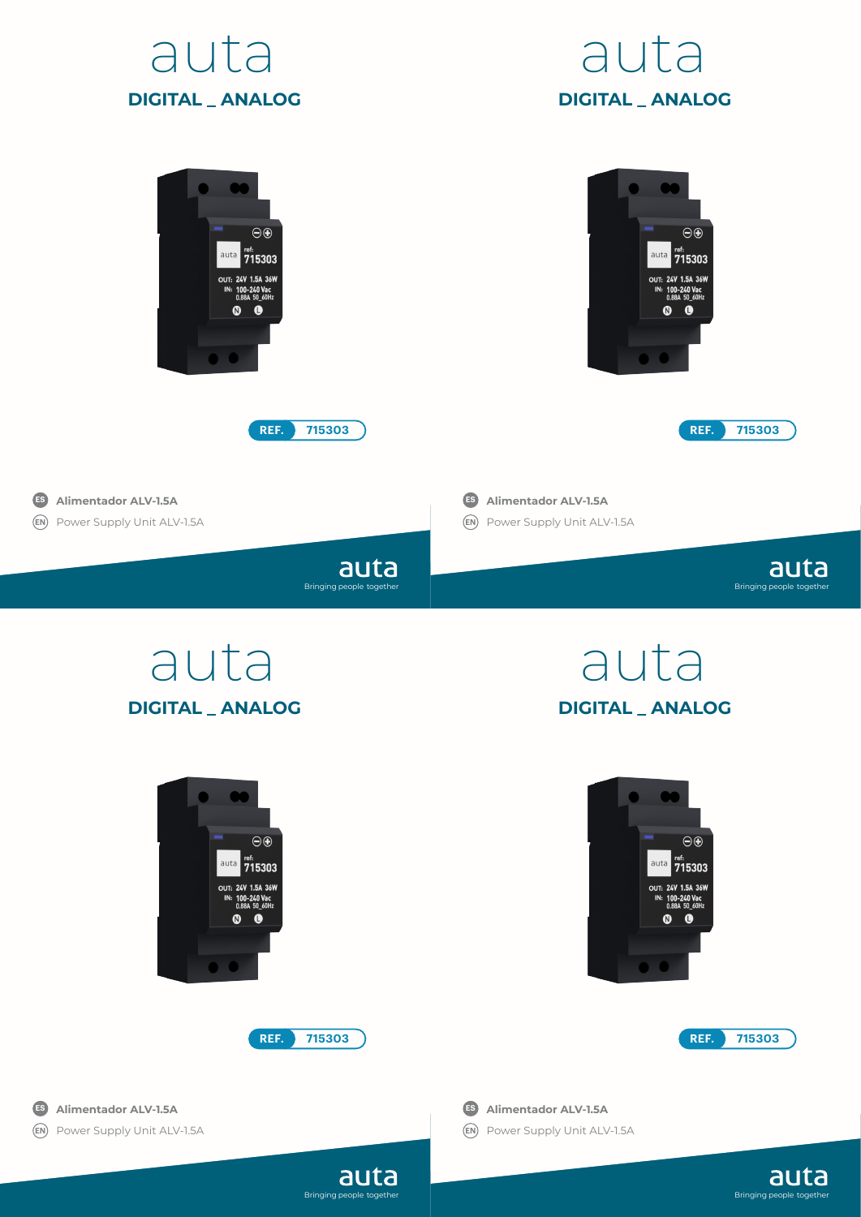





Bringing people together